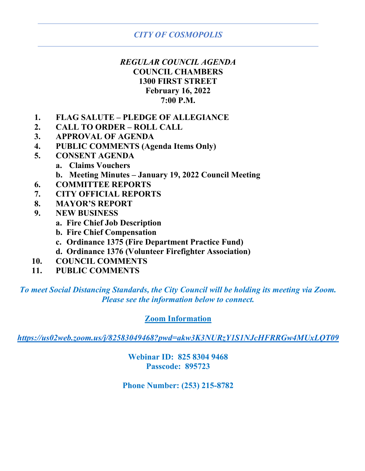# *REGULAR COUNCIL AGENDA* **COUNCIL CHAMBERS 1300 FIRST STREET February 16, 2022 7:00 P.M.**

- **1. FLAG SALUTE – PLEDGE OF ALLEGIANCE**
- **2. CALL TO ORDER – ROLL CALL**
- **3. APPROVAL OF AGENDA**
- **4. PUBLIC COMMENTS (Agenda Items Only)**
- **5. CONSENT AGENDA**
	- **a. Claims Vouchers**
	- **b. Meeting Minutes – January 19, 2022 Council Meeting**
- **6. COMMITTEE REPORTS**
- **7. CITY OFFICIAL REPORTS**
- **8. MAYOR'S REPORT**
- **9. NEW BUSINESS**
	- **a. Fire Chief Job Description**
	- **b. Fire Chief Compensation**
	- **c. Ordinance 1375 (Fire Department Practice Fund)**
	- **d. Ordinance 1376 (Volunteer Firefighter Association)**
- **10. COUNCIL COMMENTS**
- **11. PUBLIC COMMENTS**

*To meet Social Distancing Standards, the City Council will be holding its meeting via Zoom. Please see the information below to connect.*

# **Zoom Information**

*<https://us02web.zoom.us/j/82583049468?pwd=akw3K3NURzY1S1NJcHFRRGw4MUxLQT09>*

**Webinar ID: 825 8304 9468 Passcode: 895723**

**Phone Number: (253) 215-8782**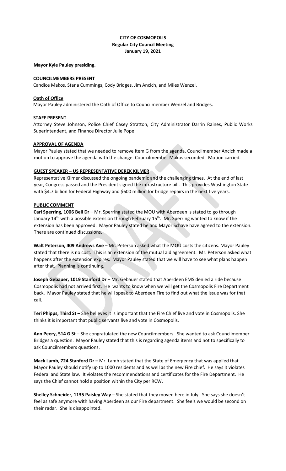### **CITY OF COSMOPOLIS Regular City Council Meeting January 19, 2021**

### **Mayor Kyle Pauley presiding.**

### **COUNCILMEMBERS PRESENT**

Candice Makos, Stana Cummings, Cody Bridges, Jim Ancich, and Miles Wenzel.

### **Oath of Office**

Mayor Pauley administered the Oath of Office to Councilmember Wenzel and Bridges.

### **STAFF PRESENT**

Attorney Steve Johnson, Police Chief Casey Stratton, City Administrator Darrin Raines, Public Works Superintendent, and Finance Director Julie Pope

### **APPROVAL OF AGENDA**

Mayor Pauley stated that we needed to remove Item G from the agenda. Councilmember Ancich made a motion to approve the agenda with the change. Councilmember Makos seconded. Motion carried.

### **GUEST SPEAKER – US REPRESENTATIVE DEREK KILMER**

Representative Kilmer discussed the ongoing pandemic and the challenging times. At the end of last year, Congress passed and the President signed the infrastructure bill. This provides Washington State with \$4.7 billion for Federal Highway and \$600 million for bridge repairs in the next five years.

### **PUBLIC COMMENT**

**Carl Sperring, 1006 Bell Dr** – Mr. Sperring stated the MOU with Aberdeen is stated to go through January 14<sup>th</sup> with a possible extension through February 15<sup>th</sup>. Mr. Sperring wanted to know if the extension has been approved. Mayor Pauley stated he and Mayor Schave have agreed to the extension. There are continued discussions.

Walt Peterson, 409 Andrews Ave - Mr. Peterson asked what the MOU costs the citizens. Mayor Pauley stated that there is no cost. This is an extension of the mutual aid agreement. Mr. Peterson asked what happens after the extension expires. Mayor Pauley stated that we will have to see what plans happen after that. Planning is continuing.

**Joseph Gebauer, 1019 Stanford Dr** – Mr. Gebauer stated that Aberdeen EMS denied a ride because Cosmopolis had not arrived first. He wants to know when we will get the Cosmopolis Fire Department back. Mayor Pauley stated that he will speak to Aberdeen Fire to find out what the issue was for that call.

**Teri Phipps, Third St** – She believes it is important that the Fire Chief live and vote in Cosmopolis. She thinks it is important that public servants live and vote in Cosmopolis.

**Ann Peery, 514 G St** – She congratulated the new Councilmembers. She wanted to ask Councilmember Bridges a question. Mayor Pauley stated that this is regarding agenda items and not to specifically to ask Councilmembers questions.

**Mack Lamb, 724 Stanford Dr –** Mr. Lamb stated that the State of Emergency that was applied that Mayor Pauley should notify up to 1000 residents and as well as the new Fire chief. He says it violates Federal and State law. It violates the recommendations and certificates for the Fire Department. He says the Chief cannot hold a position within the City per RCW.

**Shelley Schneider, 1135 Paisley Way** – She stated that they moved here in July. She says she doesn't feel as safe anymore with having Aberdeen as our Fire department. She feels we would be second on their radar. She is disappointed.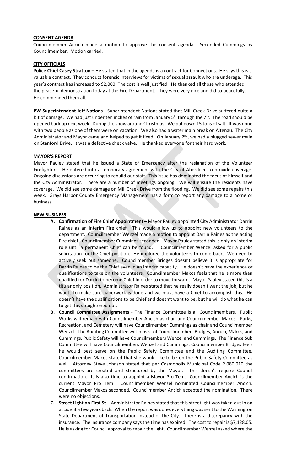### **CONSENT AGENDA**

Councilmember Ancich made a motion to approve the consent agenda. Seconded Cummings by Councilmember. Motion carried.

#### **CITY OFFICIALS**

**Police Chief Casey Stratton –** He stated that in the agenda is a contract for Connections. He says this is a valuable contract. They conduct forensic interviews for victims of sexual assault who are underage. This year's contract has increased to \$2,000. The cost is well justified. He thanked all those who attended the peaceful demonstration today at the Fire Department. They were very nice and did so peacefully. He commended them all.

**PW Superintendent Jeff Nations** - Superintendent Nations stated that Mill Creek Drive suffered quite a bit of damage. We had just under ten inches of rain from January  $5<sup>th</sup>$  through the  $7<sup>th</sup>$ . The road should be opened back up next week. During the snow around Christmas. We put down 15 tons of salt. It was done with two people as one of them were on vacation. We also had a water main break on Altenau. The City Administrator and Mayor came and helped to get it fixed. On January  $2<sup>nd</sup>$ , we had a plugged sewer main on Stanford Drive. It was a defective check valve. He thanked everyone for their hard work.

### **MAYOR'S REPORT**

Mayor Pauley stated that he issued a State of Emergency after the resignation of the Volunteer Firefighters. He entered into a temporary agreement with the City of Aberdeen to provide coverage. Ongoing discussions are occurring to rebuild our staff. This issue has dominated the focus of himself and the City Administrator. There are a number of meetings ongoing. We will ensure the residents have coverage. We did see some damage on Mill Creek Drive from the flooding. We did see some repairs this week. Grays Harbor County Emergency Management has a form to report any damage to a home or business.

#### **NEW BUSINESS**

- **A. Confirmation of Fire Chief Appointment –** Mayor Pauley appointed City Administrator Darrin Raines as an interim Fire chief. This would allow us to appoint new volunteers to the department. Councilmember Wenzel made a motion to appoint Darrin Raines as the acting Fire chief. Councilmember Cummings seconded. Mayor Pauley stated this is only an interim role until a permanent Chief can be found. Councilmember Wenzel asked for a public solicitation for the Chief position. He implored the volunteers to come back. We need to actively seek out someone. Councilmember Bridges doesn't believe it is appropriate for Darrin Raines to be the Chief even in an interim capacity. He doesn't have the experience or qualifications to take on the volunteers. Councilmember Makos feels that he is more than qualified for Darrin to become Chief in order to move forward. Mayor Pauley stated this is a titular only position. Administrator Raines stated that he really doesn't want the job, but he wants to make sure paperwork is done and we must have a Chief to accomplish this. He doesn't have the qualifications to be Chief and doesn't want to be, but he will do what he can to get this straightened out.
- **B. Council Committee Assignments** The Finance Committee is all Councilmembers. Public Works will remain with Councilmember Ancich as chair and Councilmember Makos. Parks, Recreation, and Cemetery will have Councilmember Cummings as chair and Councilmember Wenzel. The Auditing Committee will consist of Councilmembers Bridges, Ancich, Makos, and Cummings. Public Safety will have Councilmembers Wenzel and Cummings. The Finance Sub Committee will have Councilmembers Wenzel and Cummings. Councilmember Bridges feels he would best serve on the Public Safety Committee and the Auditing Committee. Councilmember Makos stated that she would like to be on the Public Safety Committee as well. Attorney Steve Johnson stated that per Cosmopolis Municipal Code 2.080.010 the committees are created and structured by the Mayor. This doesn't require Council confirmation. It is also time to appoint a Mayor Pro Tem. Councilmember Ancich is the current Mayor Pro Tem. Councilmember Wenzel nominated Councilmember Ancich. Councilmember Makos seconded. Councilmember Ancich accepted the nomination. There were no objections.
- **C. Street Light on First St –** Administrator Raines stated that this streetlight was taken out in an accident a few years back. When the report was done, everything was sent to the Washington State Department of Transportation instead of the City. There is a discrepancy with the insurance. The insurance company says the time has expired. The cost to repair is \$7,128.05. He is asking for Council approval to repair the light. Councilmember Wenzel asked where the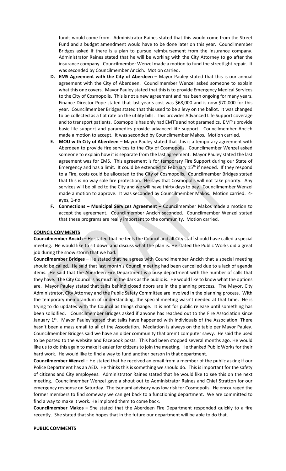funds would come from. Administrator Raines stated that this would come from the Street Fund and a budget amendment would have to be done later on this year. Councilmember Bridges asked if there is a plan to pursue reimbursement from the insurance company. Administrator Raines stated that he will be working with the City Attorney to go after the insurance company. Councilmember Wenzel made a motion to fund the streetlight repair. It was seconded by Councilmember Ancich. Motion carried.

- **D. EMS Agreement with the City of Aberdeen –** Mayor Pauley stated that this is our annual agreement with the City of Aberdeen. Councilmember Wenzel asked someone to explain what this one covers. Mayor Pauley stated that this is to provide Emergency Medical Services to the City of Cosmopolis. This is not a new agreement and has been ongoing for many years. Finance Director Pope stated that last year's cost was \$68,000 and is now \$70,000 for this year. Councilmember Bridges stated that this used to be a levy on the ballot. It was changed to be collected as a flat rate on the utility bills. This provides Advanced Life Support coverage and to transport patients. Cosmopolis has only had EMT's and not paramedics. EMT's provide basic life support and paramedics provide advanced life support. Councilmember Ancich made a motion to accept. It was seconded by Councilmember Makos. Motion carried.
- **E. MOU with City of Aberdeen –** Mayor Pauley stated that this is a temporary agreement with Aberdeen to provide fire services to the City of Cosmopolis. Councilmember Wenzel asked someone to explain how it is separate from the last agreement. Mayor Pauley stated the last agreement was for EMS. This agreement is for temporary Fire Support during our State of Emergency and has a limit. It could be extended to February 15<sup>th</sup> if needed. If they respond to a Fire, costs could be allocated to the City of Cosmopolis. Councilmember Bridges stated that this is no way sole fire protection. He says that Cosmopolis will not take priority. Any services will be billed to the City and we will have thirty days to pay. Councilmember Wenzel made a motion to approve. It was seconded by Councilmember Makos. Motion carried. 4 ayes, 1-no.
- **F. Connections – Municipal Services Agreement –** Councilmember Makos made a motion to accept the agreement. Councilmember Ancich seconded. Councilmember Wenzel stated that these programs are really important to the community. Motion carried.

### **COUNCIL COMMENTS**

**Councilmember Ancich –** He stated that he feels the Council and all City staff should have called a special meeting. He would like to sit down and discuss what the plan is. He stated the Public Works did a great job during the snow storm that we had.

**Councilmember Bridges** – He stated that he agrees with Councilmember Ancich that a special meeting should be called. He said that last month's Council meeting had been cancelled due to a lack of agenda items. He said that the Aberdeen Fire Department is a busy department with the number of calls that they have. The City Council is as much in the dark as the public is. He would like to know what the options are. Mayor Pauley stated that talks behind closed doors are in the planning process. The Mayor, City Administrator, City Attorney and the Public Safety Committee are involved in the planning process. With the temporary memorandum of understanding, the special meeting wasn't needed at that time. He is trying to do updates with the Council as things change. It is not for public release until something has been solidified. Councilmember Bridges asked if anyone has reached out to the Fire Association since January  $1<sup>st</sup>$ . Mayor Pauley stated that talks have happened with individuals of the Association. There hasn't been a mass email to all of the Association. Mediation is always on the table per Mayor Pauley. Councilmember Bridges said we have an older community that aren't computer savvy. He said the used to be posted to the website and Facebook posts. This had been stopped several months ago. He would like us to do this again to make it easier for citizens to join the meeting. He thanked Public Works for their hard work. He would like to find a way to fund another person in that department.

**Councilmember Wenzel** – He stated that he received an email from a member of the public asking if our Police Department has an AED. He thinks this is something we should do. This is important for the safety of citizens and City employees. Administrator Raines stated that he would like to see this on the next meeting. Councilmember Wenzel gave a shout out to Administrator Raines and Chief Stratton for our emergency response on Saturday. The tsunami advisory was low risk for Cosmopolis. He encouraged the former members to find someway we can get back to a functioning department. We are committed to find a way to make it work. He implored them to come back.

**Councilmember Makos –** She stated that the Aberdeen Fire Department responded quickly to a fire recently. She stated that she hopes that in the future our department will be able to do that.

#### **PUBLIC COMMENTS**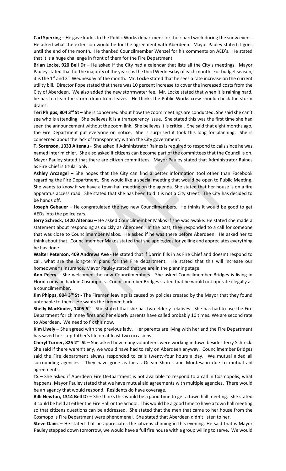**Carl Sperring** – He gave kudos to the Public Works department for their hard work during the snow event. He asked what the extension would be for the agreement with Aberdeen. Mayor Pauley stated it goes until the end of the month. He thanked Councilmember Wenzel for his comments on AED's. He stated that it is a huge challenge in front of them for the Fire Department.

**Brian Locke, 920 Bell Dr –** He asked if the City had a calendar that lists all the City's meetings. Mayor Pauley stated that for the majority of the year it is the third Wednesday of each month. For budget season, it is the 1<sup>st</sup> and 3<sup>rd</sup> Wednesday of the month. Mr. Locke stated that he sees a rate increase on the current utility bill. Director Pope stated that there was 10 percent increase to cover the increased costs from the City of Aberdeen. We also added the new stormwater fee. Mr. Locke stated that when it is raining hard, he has to clean the storm drain from leaves. He thinks the Public Works crew should check the storm drains.

**Teri Phipps, 804 3rd St** – She is concerned about how the zoom meetings are conducted. She said she can't see who is attending. She believes it is a transparency issue. She stated this was the first time she had seen the announcement without the zoom link. She believes it is critical. She said that eight months ago, the Fire Department put everyone on notice. She is surprised it took this long for planning. She is concerned about the lack of transparency within the City government.

**T. Sorenson, 1333 Altenau** - She asked if Administrator Raines is required to respond to calls since he was named interim chief. She also asked if citizens can become part of the committees that the Council is on. Mayor Pauley stated that there are citizen committees. Mayor Pauley stated that Administrator Raines as Fire Chief is titular only.

**Ashley Arcangel –** She hopes that the City can find a better information tool other than Facebook regarding the Fire Department. She would like a special meeting that would be open to Public Meeting. She wants to know if we have a town hall meeting on the agenda. She stated that her house is on a fire apparatus access road. She stated that she has been told it is not a City street. The City has decided to be hands off.

**Joseph Gebauer –** He congratulated the two new Councilmembers. He thinks it would be good to get AEDs into the police cars.

**Jerry Schreck, 1420 Altenau –** He asked Councilmember Makos if she was awake. He stated she made a statement about responding as quickly as Aberdeen. In the past, they responded to a call for someone that was close to Councilmember Makos. He asked if he was there before Aberdeen. He asked her to think about that. Councilmember Makos stated that she apologizes for yelling and appreciates everything he has done.

**Walter Peterson, 409 Andrews Ave** - He stated that if Darrin fills in as Fire Chief and doesn't respond to call, what are the long-term plans for the Fire department. He stated that this will increase our homeowner's insurance. Mayor Pauley stated that we are in the planning stage.

**Ann Peery** – She welcomed the new Councilmembers. She asked Councilmember Bridges is living in Florida or is he back in Cosmopolis. Councilmember Bridges stated that he would not operate illegally as a councilmember.

**Jim Phipps, 804 3<sup>rd</sup> St** - The Firemen leavings is caused by policies created by the Mayor that they found untenable to them. He wants the firemen back.

**Shelly MacKinder, 1405 5<sup>th</sup>** - She stated that she has two elderly relatives. She has had to use the Fire Department for chimney fires and her elderly parents have called probably 10 times. We are second rate to Aberdeen. We need to fix this now.

**Kim Lively –** She agreed with the previous lady. Her parents are living with her and the Fire Department has saved her step-father's life on at least two occasions.

**Cheryl Turner, 825 2nd St –** She asked how many volunteers were working in town besides Jerry Schreck. She said if there weren't any, we would have had to rely on Aberdeen anyway. Councilmember Bridges said the Fire department always responded to calls twenty-four hours a day. We mutual aided all surrounding agencies. They have gone as far as Ocean Shores and Montesano due to mutual aid agreements.

**TS –** She asked if Aberdeen Fire De3partment is not available to respond to a call in Cosmopolis, what happens. Mayor Pauley stated that we have mutual aid agreements with multiple agencies. There would be an agency that would respond. Residents do have coverage.

**Billi Newton, 1314 Bell Dr –** She thinks this would be a good time to get a town hall meeting. She stated it could be held at either the Fire Hall or the School. This would be a good time to have a town hall meeting so that citizens questions can be addressed. She stated that the men that came to her house from the Cosmopolis Fire Department were phenomenal. She stated that Aberdeen didn't listen to her.

**Steve Davis –** He stated that he appreciates the citizens chiming in this evening. He said that is Mayor Pauley stepped down tomorrow, we would have a full fire house with a group willing to serve. We would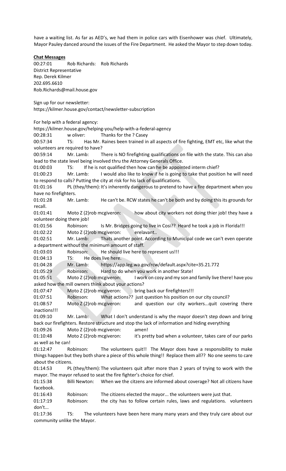have a waiting list. As far as AED's, we had them in police cars with Eisenhower was chief. Ultimately, Mayor Pauley danced around the issues of the Fire Department. He asked the Mayor to step down today.

### **Chat Messages**

00:27:01 Rob Richards: Rob Richards District Representative Rep. Derek Kilmer 202.695.6610 Rob.Richards@mail.house.gov

Sign up for our newsletter: https://kilmer.house.gov/contact/newsletter-subscription

For help with a federal agency:

community unlike the Mayor.

https://kilmer.house.gov/helping-you/help-with-a-federal-agency 00:28:31 w oliver: Thanks for the ? Casey 00:57:34 TS: Has Mr. Raines been trained in all aspects of fire fighting, EMT etc, like what the volunteers are required to have? 00:59:14 Mr. Lamb: There is NO firefighting qualifications on file with the state. This can also lead to the state level being involved thru the Attorney Generals Office. 01:00:03 TS: If he is not qualified then how can he be appointed interm chief? 01:00:23 Mr. Lamb: I would also like to know if he is going to take that position he will need to respond to calls? Putting the city at risk for his lack of qualifications. 01:01:16 PL (they/them): It's inherently dangerous to pretend to have a fire department when you have no firefighters. 01:01:28 Mr. Lamb: He can't be. RCW states he can't be both and by doing this its grounds for recall. 01:01:41 Moto Z (2)rob mcgiveron: how about city workers not doing thier job! they have a volunteer doing there job! 01:01:56 Robinson: Is Mr. Bridges going to live in Cosi?? Heard he took a job in Florida!!! 01:02:22 Moto Z (2)rob mcgiveron: erelavant.. 01:02:51 Mr. Lamb: Thats another point. According to Municipal code we can't even operate a department without the minimum amount of staff. 01:03:03 Robinson: He should live here to represent us!!! 01:04:13 TS: He does live here. 01:04:28 Mr. Lamb: https://app.leg.wa.gov/rcw/default.aspx?cite=35.21.772 01:05:29 Robinson: Hard to do when you work in another State! 01:05:51 Moto Z (2)rob mcgiveron: I work on cosy and my son and family live there! have you asked how the mill owners think about your actions? 01:07:47 Moto Z (2)rob mcgiveron: bring back our firefighters!!! 01:07:51 Robinson: What actions?? just question his position on our city council? 01:08:57 Moto Z (2)rob mcgiveron: and question our city workers...quit covering there inactions!!! 01:09:10 Mr. Lamb: What I don't understand is why the mayor doesn't step down and bring back our firefighters. Restore structure and stop the lack of information and hiding everything 01:09:26 Moto Z (2)rob mcgiveron: amen! 01:10:48 Moto Z (2)rob mcgiveron: it's pretty bad when a volunteer, takes care of our parks as well as he can! 01:12:47 Robinson: The volunteers quit!! The Mayor does have a responsibility to make things happen but they both share a piece of this whole thing!! Replace them all?? No one seems to care about the citizens. 01:14:53 PL (they/them): The volunteers quit after more than 2 years of trying to work with the mayor. The mayor refused to seat the fire fighter's choice for chief. 01:15:38 Billi Newton: When we the citzens are informed about coverage? Not all citizens have facebook. 01:16:43 Robinson: The citizens elected the mayor... the volunteers were just that. 01:17:19 Robinson: the city has to follow certain rules, laws and regulations. volunteers don't... 01:17:36 TS: The volunteers have been here many many years and they truly care about our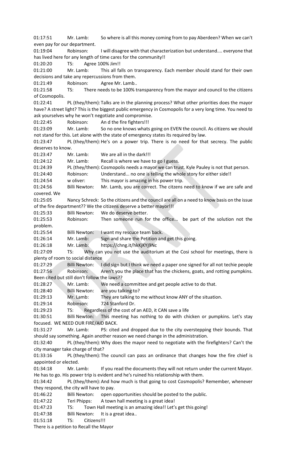01:17:51 Mr. Lamb: So where is all this money coming from to pay Aberdeen? When we can't even pay for our department. 01:19:04 Robinson: I will disagree with that characterization but understand.... everyone that has lived here for any length of time cares for the community!! 01:20:20 TS: Agree 100% Jim!! 01:21:00 Mr. Lamb: This all falls on transparency. Each member should stand for their own decisions and take any repercussions from them. 01:21:49 Robinson: Agree Mr. Lamb.. 01:21:58 TS: There needs to be 100% transparency from the mayor and council to the citizens of Cosmopolis. 01:22:41 PL (they/them): Talks are in the planning process? What other priorities does the mayor have? A street light? This is the biggest public emergency in Cosmopolis for a very long time. You need to ask yourselves why he won't negotiate and compromise. 01:22:45 Robinson: An d the fire fighters!!! 01:23:09 Mr. Lamb: So no one knows whats going on EVEN the council. As citizens we should not stand for this. Let alone with the state of emergency states its required by law. 01:23:47 PL (they/them): He's on a power trip. There is no need for that secrecy. The public deserves to know. 01:23:47 Mr. Lamb: We are all in the dark!!! 01:24:12 Mr. Lamb: Recall is where we have to go I guess. 01:24:39 PL (they/them): Cosmopolis needs a mayor we can trust. Kyle Pauley is not that person. 01:24:40 Robinson: Understand... no one is telling the whole story for either side!! 01:24:54 w oliver: This mayor is amazing in his power trip. 01:24:56 Billi Newton: Mr. Lamb, you are correct. The citzens need to know if we are safe and covered. We 01:25:05 Nancy Schreck: So the citizens and the council are all on a need to know basis on the issue of the fire department?? We the citizens deserve a better mayor!!! 01:25:33 Billi Newton: We do deserve better. 01:25:53 Robinson: Then someone run for the office... be part of the solution not the problem. 01:25:54 Billi Newton: I want my rescuce team back. 01:26:14 Mr. Lamb: Sign and share the Petition and get this going. 01:26:18 Mr. Lamb: https://chng.it/hkKjKYj9Nc 01:27:09 TS: Why can you not use the auditorium at the Cosi school for meetings, there is plenty of room to social distance 01:27:29 Billi Newton: I did sign but I think we need a paper one signed for all not techie people 01:27:56 Robinson: Aren't you the place that has the chickens, goats, and rotting pumpkins. Been cited but still don't follow the laws?? 01:28:27 Mr. Lamb: We need a committee and get people active to do that. 01:28:40 Billi Newton: are you talking to? 01:29:13 Mr. Lamb: They are talking to me without know ANY of the situation. 01:29:14 Robinson: 724 Stanford Dr. 01:29:23 TS: Regardless of the cost of an AED, it CAN save a life 01:30:51 Billi Newton: This meeting has nothing to do with chicken or pumpkins. Let's stay focused. WE NEED OUR FIRE/AID BACK. 01:31:27 Mr. Lamb: PS: cited and dropped due to the city overstepping their bounds. That should say something. Again another reason we need change in the administration. 01:32:40 PL (they/them):Why does the mayor need to negotiate with the firefighters? Can't the city manager take charge of that? 01:33:16 PL (they/them): The council can pass an ordinance that changes how the fire chief is appointed or elected. 01:34:18 Mr. Lamb: If you read the documents they will not return under the current Mayor. He has to go. His power trip is evident and he's ruined his relationship with them. 01:34:42 PL (they/them): And how much is that going to cost Cosmopolis? Remember, whenever they respond, the city will have to pay. 01:46:22 Billi Newton: open opportunities should be posted to the public. 01:47:22 Teri Phipps: A town hall meeting is a great idea! 01:47:23 TS: Town Hall meeting is an amazing idea!! Let's get this going! 01:47:38 Billi Newton: It is a great idea.. 01:51:18 TS: Citizens!!!

There is a petition to Recall the Mayor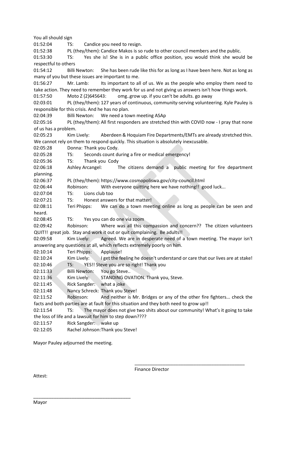You all should sign 01:52:04 TS: Candice you need to resign. 01:52:38 PL (they/them): Candice Makos is so rude to other council members and the public. 01:53:30 TS: Yes she is! She is in a public office position, you would think she would be respectful to others 01:54:12 Billi Newton: She has been rude like this for as long as I have been here. Not as long as many of you but these issues are important to me. 01:56:27 Mr. Lamb: Its important to all of us. We as the people who employ them need to take action. They need to remember they work for us and not giving us answers isn't how things work. 01:57:50 Moto Z (2)645643: omg..grow up. if you can't be adults. go away 02:03:01 PL (they/them): 127 years of continuous, community-serving volunteering. Kyle Pauley is responsible for this crisis. And he has no plan. 02:04:39 Billi Newton: We need a town meeting ASAp 02:05:16 PL (they/them): All first responders are stretched thin with COVID now - I pray that none of us has a problem. 02:05:23 Kim Lively: Aberdeen & Hoquiam Fire Departments/EMTs are already stretched thin. We cannot rely on them to respond quickly. This situation is absolutely inexcusable. 02:05:28 Donna: Thank you Cody. 02:05:28 TS: Seconds count during a fire or medical emergency! 02:05:36 TS: Thank you Cody 02:06:18 Ashley Arcangel: The citizens demand a public meeting for fire department planning. 02:06:37 PL (they/them): https://www.cosmopoliswa.gov/city-council.html 02:06:44 Robinson: With everyone quitting here we have nothing!! good luck... 02:07:04 TS: Lions club too 02:07:21 TS: Honest answers for that matter! 02:08:11 Teri Phipps: We can do a town meeting online as long as people can be seen and heard. 02:08:45 TS: Yes you can do one via zoom 02:09:42 Robinson: Where was all this compassion and concern?? The citizen volunteers QUIT!! great job. Stay and work it out or quit complaining. Be adults!! 02:09:58 Kim Lively: Agreed. We are in desperate need of a town meeting. The mayor isn't answering any questions at all, which reflects extremely poorly on him. 02:10:14 Teri Phipps: Applause! 02:10:24 Kim Lively: I get the feeling he doesn't understand or care that our lives are at stake! 02:10:46 TS: YES!! Steve you are so right! Thank you 02:11:33 Billi Newton: You go Steve.. 02:11:36 Kim Lively: STANDING OVATION. Thank you, Steve. 02:11:45 Rick Sangder: what a joke 02:11:48 Nancy Schreck: Thank you Steve! 02:11:52 Robinson: And neither is Mr. Bridges or any of the other fire fighters... check the facts and both parties are at fault for this situation and they both need to grow up!! 02:11:54 TS: The mayor does not give two shits about our community! What's it going to take the loss of life and a lawsuit for him to step down???? 02:11:57 Rick Sangder: wake up 02:12:05 Rachel Johnson:Thank you Steve!

Mayor Pauley adjourned the meeting.

\_\_\_\_\_\_\_\_\_\_\_\_\_\_\_\_\_\_\_\_\_\_\_\_\_\_\_\_\_\_\_\_\_\_\_\_\_\_

Finance Director

\_\_\_\_\_\_\_\_\_\_\_\_\_\_\_\_\_\_\_\_\_\_\_\_\_\_\_\_\_\_\_\_\_\_\_\_\_\_\_\_\_\_\_

Attest:

Mayor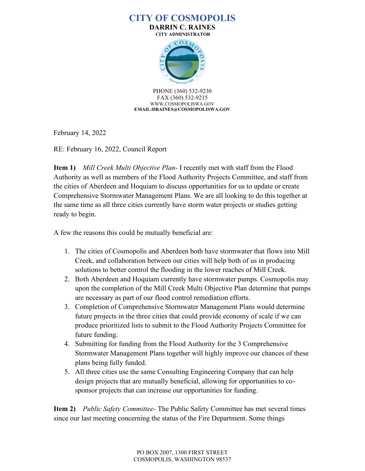**DARRIN C. RAINES CITY ADMINISTRATOR**



PHONE (360) 532-9230 FAX (360) 532-9215 WWW.COSMOPOLISWA.GOV **EMAIL:DRAINES@COSMOPOLISWA.GOV**

February 14, 2022

RE: February 16, 2022, Council Report

**Item 1)** *Mill Creek Multi Objective Plan-* I recently met with staff from the Flood Authority as well as members of the Flood Authority Projects Committee, and staff from the cities of Aberdeen and Hoquiam to discuss opportunities for us to update or create Comprehensive Stormwater Management Plans. We are all looking to do this together at the same time as all three cities currently have storm water projects or studies getting ready to begin.

A few the reasons this could be mutually beneficial are:

- 1. The cities of Cosmopolis and Aberdeen both have stormwater that flows into Mill Creek, and collaboration between our cities will help both of us in producing solutions to better control the flooding in the lower reaches of Mill Creek.
- 2. Both Aberdeen and Hoquiam currently have stormwater pumps. Cosmopolis may upon the completion of the Mill Creek Multi Objective Plan determine that pumps are necessary as part of our flood control remediation efforts.
- 3. Completion of Comprehensive Stormwater Management Plans would determine future projects in the three cities that could provide economy of scale if we can produce prioritized lists to submit to the Flood Authority Projects Committee for future funding.
- 4. Submitting for funding from the Flood Authority for the 3 Comprehensive Stormwater Management Plans together will highly improve our chances of these plans being fully funded.
- 5. All three cities use the same Consulting Engineering Company that can help design projects that are mutually beneficial, allowing for opportunities to cosponsor projects that can increase our opportunities for funding.

**Item 2)** *Public Safety Committee-* The Public Safety Committee has met several times since our last meeting concerning the status of the Fire Department. Some things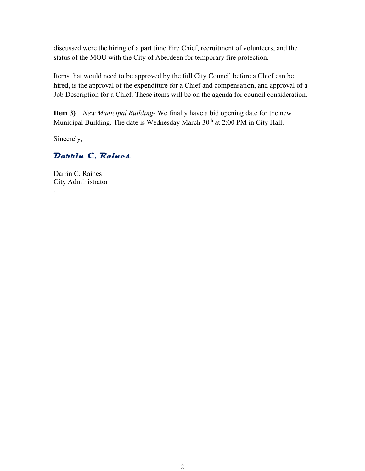discussed were the hiring of a part time Fire Chief, recruitment of volunteers, and the status of the MOU with the City of Aberdeen for temporary fire protection.

Items that would need to be approved by the full City Council before a Chief can be hired, is the approval of the expenditure for a Chief and compensation, and approval of a Job Description for a Chief. These items will be on the agenda for council consideration.

**Item 3)** *New Municipal Building-* We finally have a bid opening date for the new Municipal Building. The date is Wednesday March 30<sup>th</sup> at 2:00 PM in City Hall.

Sincerely,

.

## **Darrin C. Raines**

Darrin C. Raines City Administrator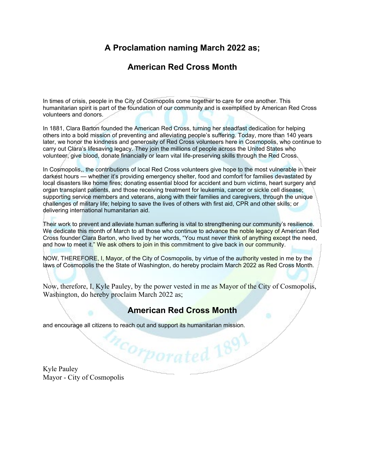# **A Proclamation naming March 2022 as;**

# **American Red Cross Month**

In times of crisis, people in the City of Cosmopolis come together to care for one another. This humanitarian spirit is part of the foundation of our community and is exemplified by American Red Cross volunteers and donors.

In 1881, Clara Barton founded the American Red Cross, turning her steadfast dedication for helping others into a bold mission of preventing and alleviating people's suffering. Today, more than 140 years later, we honor the kindness and generosity of Red Cross volunteers here in Cosmopolis, who continue to carry out Clara's lifesaving legacy. They join the millions of people across the United States who volunteer, give blood, donate financially or learn vital life-preserving skills through the Red Cross.

In Cosmopolis,, the contributions of local Red Cross volunteers give hope to the most vulnerable in their darkest hours — whether it's providing emergency shelter, food and comfort for families devastated by local disasters like home fires; donating essential blood for accident and burn victims, heart surgery and organ transplant patients, and those receiving treatment for leukemia, cancer or sickle cell disease; supporting service members and veterans, along with their families and caregivers, through the unique challenges of military life; helping to save the lives of others with first aid, CPR and other skills; or delivering international humanitarian aid.

Their work to prevent and alleviate human suffering is vital to strengthening our community's resilience. We dedicate this month of March to all those who continue to advance the noble legacy of American Red Cross founder Clara Barton, who lived by her words, "You must never think of anything except the need, and how to meet it." We ask others to join in this commitment to give back in our community.

NOW, THEREFORE, I, Mayor, of the City of Cosmopolis, by virtue of the authority vested in me by the laws of Cosmopolis the the State of Washington, do hereby proclaim March 2022 as Red Cross Month.

Now, therefore, I, Kyle Pauley, by the power vested in me as Mayor of the City of Cosmopolis, Washington, do hereby proclaim March 2022 as;

# **American Red Cross Month**

<sup>12</sup>Corporated 1891

and encourage all citizens to reach out and support its humanitarian mission.

Kyle Pauley Mayor - City of Cosmopolis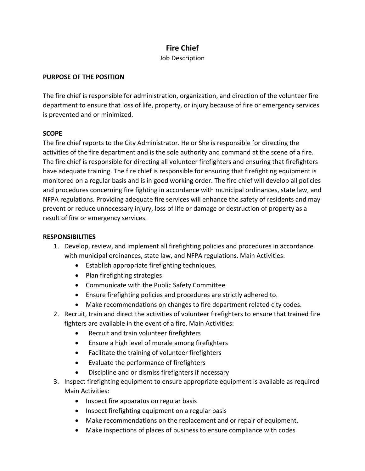## **Fire Chief**

Job Description

### **PURPOSE OF THE POSITION**

The fire chief is responsible for administration, organization, and direction of the volunteer fire department to ensure that loss of life, property, or injury because of fire or emergency services is prevented and or minimized.

### **SCOPE**

The fire chief reports to the City Administrator. He or She is responsible for directing the activities of the fire department and is the sole authority and command at the scene of a fire. The fire chief is responsible for directing all volunteer firefighters and ensuring that firefighters have adequate training. The fire chief is responsible for ensuring that firefighting equipment is monitored on a regular basis and is in good working order. The fire chief will develop all policies and procedures concerning fire fighting in accordance with municipal ordinances, state law, and NFPA regulations. Providing adequate fire services will enhance the safety of residents and may prevent or reduce unnecessary injury, loss of life or damage or destruction of property as a result of fire or emergency services.

### **RESPONSIBILITIES**

- 1. Develop, review, and implement all firefighting policies and procedures in accordance with municipal ordinances, state law, and NFPA regulations. Main Activities:
	- Establish appropriate firefighting techniques.
	- Plan firefighting strategies
	- Communicate with the Public Safety Committee
	- Ensure firefighting policies and procedures are strictly adhered to.
	- Make recommendations on changes to fire department related city codes.
- 2. Recruit, train and direct the activities of volunteer firefighters to ensure that trained fire fighters are available in the event of a fire. Main Activities:
	- Recruit and train volunteer firefighters
	- Ensure a high level of morale among firefighters
	- Facilitate the training of volunteer firefighters
	- Evaluate the performance of firefighters
	- Discipline and or dismiss firefighters if necessary
- 3. Inspect firefighting equipment to ensure appropriate equipment is available as required Main Activities:
	- Inspect fire apparatus on regular basis
	- Inspect firefighting equipment on a regular basis
	- Make recommendations on the replacement and or repair of equipment.
	- Make inspections of places of business to ensure compliance with codes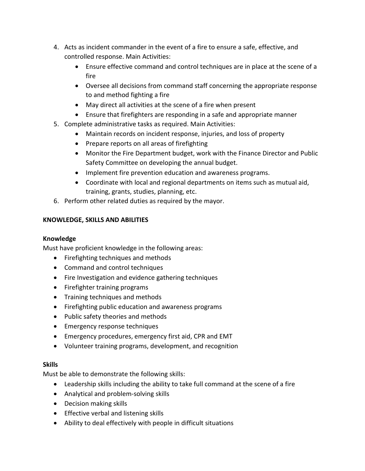- 4. Acts as incident commander in the event of a fire to ensure a safe, effective, and controlled response. Main Activities:
	- Ensure effective command and control techniques are in place at the scene of a fire
	- Oversee all decisions from command staff concerning the appropriate response to and method fighting a fire
	- May direct all activities at the scene of a fire when present
	- Ensure that firefighters are responding in a safe and appropriate manner
- 5. Complete administrative tasks as required. Main Activities:
	- Maintain records on incident response, injuries, and loss of property
	- Prepare reports on all areas of firefighting
	- Monitor the Fire Department budget, work with the Finance Director and Public Safety Committee on developing the annual budget.
	- Implement fire prevention education and awareness programs.
	- Coordinate with local and regional departments on items such as mutual aid, training, grants, studies, planning, etc.
- 6. Perform other related duties as required by the mayor.

## **KNOWLEDGE, SKILLS AND ABILITIES**

## **Knowledge**

Must have proficient knowledge in the following areas:

- Firefighting techniques and methods
- Command and control techniques
- Fire Investigation and evidence gathering techniques
- Firefighter training programs
- Training techniques and methods
- Firefighting public education and awareness programs
- Public safety theories and methods
- Emergency response techniques
- Emergency procedures, emergency first aid, CPR and EMT
- Volunteer training programs, development, and recognition

## **Skills**

Must be able to demonstrate the following skills:

- Leadership skills including the ability to take full command at the scene of a fire
- Analytical and problem-solving skills
- Decision making skills
- Effective verbal and listening skills
- Ability to deal effectively with people in difficult situations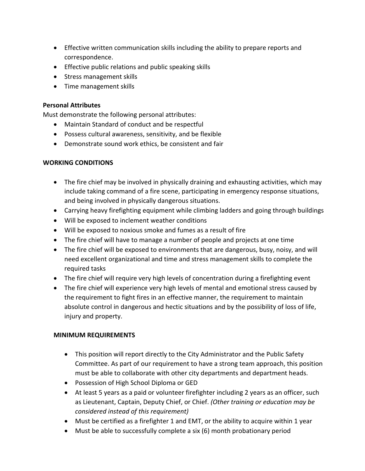- Effective written communication skills including the ability to prepare reports and correspondence.
- Effective public relations and public speaking skills
- Stress management skills
- Time management skills

### **Personal Attributes**

Must demonstrate the following personal attributes:

- Maintain Standard of conduct and be respectful
- Possess cultural awareness, sensitivity, and be flexible
- Demonstrate sound work ethics, be consistent and fair

### **WORKING CONDITIONS**

- The fire chief may be involved in physically draining and exhausting activities, which may include taking command of a fire scene, participating in emergency response situations, and being involved in physically dangerous situations.
- Carrying heavy firefighting equipment while climbing ladders and going through buildings
- Will be exposed to inclement weather conditions
- Will be exposed to noxious smoke and fumes as a result of fire
- The fire chief will have to manage a number of people and projects at one time
- The fire chief will be exposed to environments that are dangerous, busy, noisy, and will need excellent organizational and time and stress management skills to complete the required tasks
- The fire chief will require very high levels of concentration during a firefighting event
- The fire chief will experience very high levels of mental and emotional stress caused by the requirement to fight fires in an effective manner, the requirement to maintain absolute control in dangerous and hectic situations and by the possibility of loss of life, injury and property.

### **MINIMUM REQUIREMENTS**

- This position will report directly to the City Administrator and the Public Safety Committee. As part of our requirement to have a strong team approach, this position must be able to collaborate with other city departments and department heads.
- Possession of High School Diploma or GED
- At least 5 years as a paid or volunteer firefighter including 2 years as an officer, such as Lieutenant, Captain, Deputy Chief, or Chief. *(Other training or education may be considered instead of this requirement)*
- Must be certified as a firefighter 1 and EMT, or the ability to acquire within 1 year
- Must be able to successfully complete a six (6) month probationary period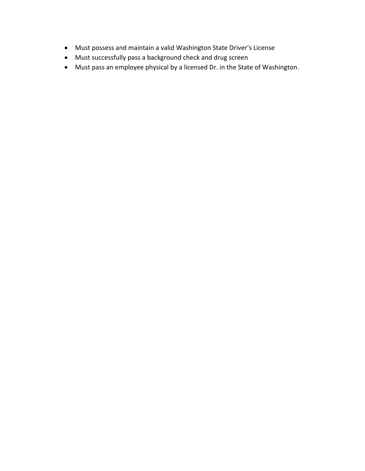- Must possess and maintain a valid Washington State Driver's License
- Must successfully pass a background check and drug screen
- Must pass an employee physical by a licensed Dr. in the State of Washington.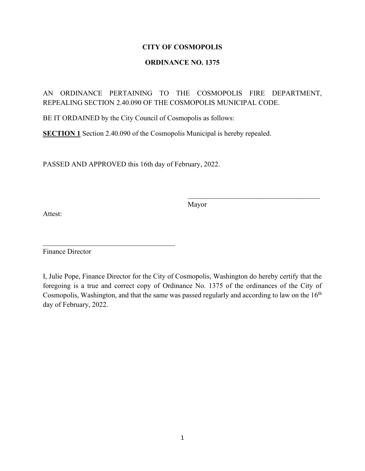## **ORDINANCE NO. 1375**

## AN ORDINANCE PERTAINING TO THE COSMOPOLIS FIRE DEPARTMENT, REPEALING SECTION 2.40.090 OF THE COSMOPOLIS MUNICIPAL CODE.

BE IT ORDAINED by the City Council of Cosmopolis as follows:

**SECTION 1** Section 2.40.090 of the Cosmopolis Municipal is hereby repealed.

PASSED AND APPROVED this 16th day of February, 2022.

 $\mathcal{L}_\text{max}$  , and the set of the set of the set of the set of the set of the set of the set of the set of the set of the set of the set of the set of the set of the set of the set of the set of the set of the set of the

Mayor

 $\mathcal{L}_\mathcal{L}$  , which is a set of the set of the set of the set of the set of the set of the set of the set of the set of the set of the set of the set of the set of the set of the set of the set of the set of the set of

Attest:

Finance Director

I, Julie Pope, Finance Director for the City of Cosmopolis, Washington do hereby certify that the foregoing is a true and correct copy of Ordinance No. 1375 of the ordinances of the City of Cosmopolis, Washington, and that the same was passed regularly and according to law on the  $16<sup>th</sup>$ day of February, 2022.